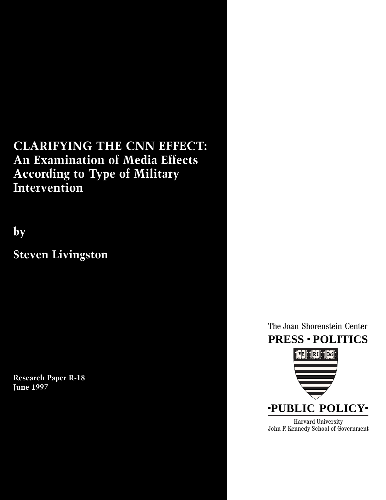# **CLARIFYING THE CNN EFFECT: An Examination of Media Effects According to Type of Military Intervention**

**by** 

**Steven Livingston**

**Research Paper R-18 June 1997**

**PRESS POLITICS** The Joan Shorenstein Center



Harvard University John F. Kennedy School of Government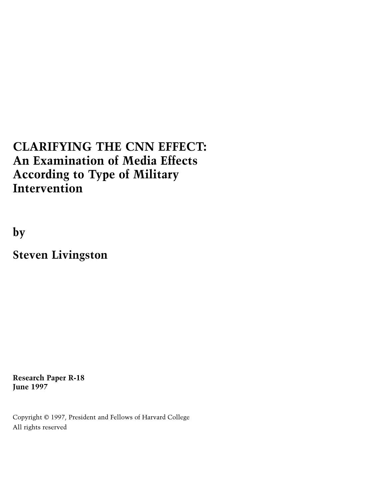# **CLARIFYING THE CNN EFFECT: An Examination of Media Effects According to Type of Military Intervention**

**by**

**Steven Livingston**

**Research Paper R-18 June 1997**

Copyright © 1997, President and Fellows of Harvard College All rights reserved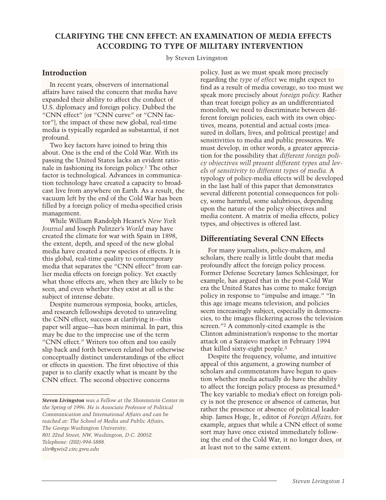# **CLARIFYING THE CNN EFFECT: AN EXAMINATION OF MEDIA EFFECTS ACCORDING TO TYPE OF MILITARY INTERVENTION**

by Steven Livingston

# **Introduction**

In recent years, observers of international affairs have raised the concern that media have expanded their ability to affect the conduct of U.S. diplomacy and foreign policy. Dubbed the "CNN effect" (or "CNN curve" or "CNN factor"), the impact of these new global, real-time media is typically regarded as substantial, if not profound.

Two key factors have joined to bring this about. One is the end of the Cold War. With its passing the United States lacks an evident rationale in fashioning its foreign policy.1 The other factor is technological. Advances in communication technology have created a capacity to broadcast live from anywhere on Earth. As a result, the vacuum left by the end of the Cold War has been filled by a foreign policy of media-specified crisis management.

While William Randolph Hearst's *New York Journal* and Joseph Pulitzer's *World* may have created the climate for war with Spain in 1898, the extent, depth, and speed of the new global media have created a new species of effects. It is this global, real-time quality to contemporary media that separates the "CNN effect" from earlier media effects on foreign policy. Yet exactly what those effects are, when they are likely to be seen, and even whether they exist at all is the subject of intense debate.

Despite numerous symposia, books, articles, and research fellowships devoted to unraveling the CNN effect, success at clarifying it—this paper will argue—has been minimal. In part, this may be due to the imprecise use of the term "CNN effect." Writers too often and too easily slip back and forth between related but otherwise conceptually distinct understandings of the effect or effects in question. The first objective of this paper is to clarify exactly what is meant by the CNN effect. The second objective concerns

*sliv@gwis2.circ.gwu.edu*

policy. Just as we must speak more precisely regarding the *type of effect* we might expect to find as a result of media coverage, so too must we speak more precisely about *foreign policy.* Rather than treat foreign policy as an undifferentiated monolith, we need to discriminate between different foreign policies, each with its own objectives, means, potential and actual costs (measured in dollars, lives, and political prestige) and sensitivities to media and public pressures. We must develop, in other words, a greater appreciation for the possibility that *different foreign policy objectives will present different types and levels of sensitivity to different types of media.* A typology of policy-media effects will be developed in the last half of this paper that demonstrates several different potential consequences for policy, some harmful, some salubrious, depending upon the nature of the policy objectives and media content. A matrix of media effects, policy types, and objectives is offered last.

## **Differentiating Several CNN Effects**

For many journalists, policy-makers, and scholars, there really is little doubt that media profoundly affect the foreign policy process. Former Defense Secretary James Schlesinger, for example, has argued that in the post-Cold War era the United States has come to make foreign policy in response to "impulse and image." "In this age image means television, and policies seem increasingly subject, especially in democracies, to the images flickering across the television screen."2 A commonly-cited example is the Clinton administration's response to the mortar attack on a Sarajevo market in February 1994 that killed sixty-eight people.3

Despite the frequency, volume, and intuitive appeal of this argument, a growing number of scholars and commentators have begun to question whether media actually do have the ability to affect the foreign policy process as presumed.4 The key variable to media's effect on foreign policy is not the presence or absence of cameras, but rather the presence or absence of political leadership. James Hoge, Jr., editor of *Foreign Affairs,* for example, argues that while a CNN effect of some sort may have once existed immediately following the end of the Cold War, it no longer does, or at least not to the same extent.

*Steven Livingston was a Fellow at the Shorenstein Center in the Spring of 1996. He is Associate Professor of Political Communication and International Affairs and can be reached at: The School of Media and Public Affairs, The George Washington University, 801 22nd Street, NW, Washington, D.C. 20052. Telephone: (202)-994-5888.*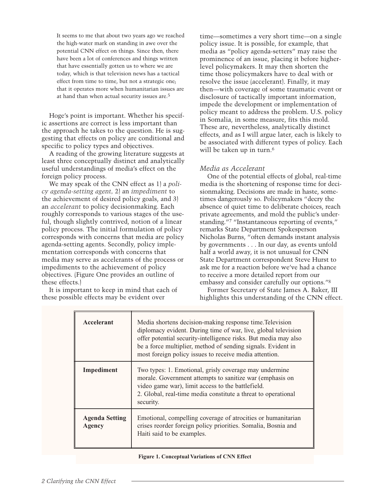It seems to me that about two years ago we reached the high-water mark on standing in awe over the potential CNN effect on things. Since then, there have been a lot of conferences and things written that have essentially gotten us to where we are today, which is that television news has a tactical effect from time to time, but not a strategic one; that it operates more when humanitarian issues are at hand than when actual security issues are.5

Hoge's point is important. Whether his specific assertions are correct is less important than the approach he takes to the question. He is suggesting that effects on policy are conditional and specific to policy types and objectives.

A reading of the growing literature suggests at least three conceptually distinct and analytically useful understandings of media's effect on the foreign policy process.

We may speak of the CNN effect as 1) a *policy agenda-setting agent,* 2) an *impediment* to the achievement of desired policy goals, and 3) an *accelerant* to policy decisionmaking. Each roughly corresponds to various stages of the useful, though slightly contrived, notion of a linear policy process. The initial formulation of policy corresponds with concerns that media are policy agenda-setting agents. Secondly, policy implementation corresponds with concerns that media may serve as accelerants of the process or impediments to the achievement of policy objectives. (Figure One provides an outline of these effects.)

It is important to keep in mind that each of these possible effects may be evident over

time—sometimes a very short time—on a single policy issue. It is possible, for example, that media as "policy agenda-setters" may raise the prominence of an issue, placing it before higherlevel policymakers. It may then shorten the time those policymakers have to deal with or resolve the issue (accelerant). Finally, it may then—with coverage of some traumatic event or disclosure of tactically important information, impede the development or implementation of policy meant to address the problem. U.S. policy in Somalia, in some measure, fits this mold. These are, nevertheless, analytically distinct effects, and as I will argue later, each is likely to be associated with different types of policy. Each will be taken up in turn.<sup>6</sup>

## *Media as Accelerant*

One of the potential effects of global, real-time media is the shortening of response time for decisionmaking. Decisions are made in haste, sometimes dangerously so. Policymakers "decry the absence of quiet time to deliberate choices, reach private agreements, and mold the public's understanding."7 "Instantaneous reporting of events," remarks State Department Spokesperson Nicholas Burns, "often demands instant analysis by governments . . . In our day, as events unfold half a world away, it is not unusual for CNN State Department correspondent Steve Hurst to ask me for a reaction before we've had a chance to receive a more detailed report from our embassy and consider carefully our options."8

Former Secretary of State James A. Baker, III highlights this understanding of the CNN effect.

| Accelerant                      | Media shortens decision-making response time. Television<br>diplomacy evident. During time of war, live, global television<br>offer potential security-intelligence risks. But media may also<br>be a force multiplier, method of sending signals. Evident in<br>most foreign policy issues to receive media attention. |
|---------------------------------|-------------------------------------------------------------------------------------------------------------------------------------------------------------------------------------------------------------------------------------------------------------------------------------------------------------------------|
| Impediment                      | Two types: 1. Emotional, grisly coverage may undermine<br>morale. Government attempts to sanitize war (emphasis on<br>video game war), limit access to the battlefield.<br>2. Global, real-time media constitute a threat to operational<br>security.                                                                   |
| <b>Agenda Setting</b><br>Agency | Emotional, compelling coverage of atrocities or humanitarian<br>crises reorder foreign policy priorities. Somalia, Bosnia and<br>Haiti said to be examples.                                                                                                                                                             |

#### **Figure 1. Conceptual Variations of CNN Effect**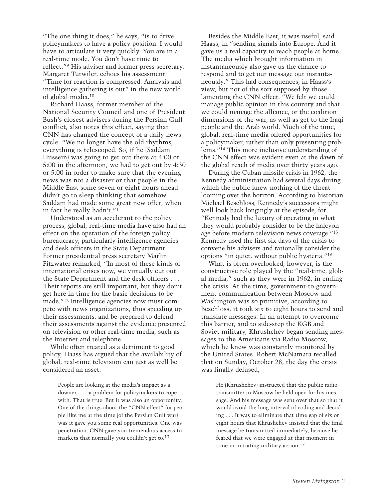"The one thing it does," he says, "is to drive policymakers to have a policy position. I would have to articulate it very quickly. You are in a real-time mode. You don't have time to reflect."9 His adviser and former press secretary, Margaret Tutwiler, echoes his assessment: "Time for reaction is compressed. Analysis and intelligence-gathering is out" in the new world of global media.10

Richard Haass, former member of the National Security Council and one of President Bush's closest advisers during the Persian Gulf conflict, also notes this effect, saying that CNN has changed the concept of a daily news cycle. "We no longer have the old rhythms, everything is telescoped. So, if he (Saddam Hussein) was going to get out there at 4:00 or 5:00 in the afternoon, we had to get out by 4:30 or 5:00 in order to make sure that the evening news was not a disaster or that people in the Middle East some seven or eight hours ahead didn't go to sleep thinking that somehow Saddam had made some great new offer, when in fact he really hadn't."11

Understood as an accelerant to the policy process, global, real-time media have also had an effect on the operation of the foreign policy bureaucracy, particularly intelligence agencies and desk officers in the State Department. Former presidential press secretary Marlin Fitzwater remarked, "In most of these kinds of international crises now, we virtually cut out the State Department and the desk officers . . . Their reports are still important, but they don't get here in time for the basic decisions to be made."12 Intelligence agencies now must compete with news organizations, thus speeding up their assessments, and be prepared to defend their assessments against the evidence presented on television or other real-time media, such as the Internet and telephone.

While often treated as a detriment to good policy, Haass has argued that the availability of global, real-time television can just as well be considered an asset.

> People are looking at the media's impact as a downer, . . . a problem for policymakers to cope with. That is true. But it was also an opportunity. One of the things about the "CNN effect" for people like me at the time (of the Persian Gulf war) was it gave you some real opportunities. One was penetration. CNN gave you tremendous access to markets that normally you couldn't get to.13

Besides the Middle East, it was useful, said Haass, in "sending signals into Europe. And it gave us a real capacity to reach people at home. The media which brought information in instantaneously also gave us the chance to respond and to get our message out instantaneously." This had consequences, in Haass's view, but not of the sort supposed by those lamenting the CNN effect. "We felt we could manage public opinion in this country and that we could manage the alliance, or the coalition dimensions of the war, as well as get to the Iraqi people and the Arab world. Much of the time, global, real-time media offered opportunities for a policymaker, rather than only presenting problems."14 This more inclusive understanding of the CNN effect was evident even at the dawn of the global reach of media over thirty years ago.

During the Cuban missile crisis in 1962, the Kennedy administration had several days during which the public knew nothing of the threat looming over the horizon. According to historian Michael Beschloss, Kennedy's successors might well look back longingly at the episode, for "Kennedy had the luxury of operating in what they would probably consider to be the halcyon age before modern television news coverage."15 Kennedy used the first six days of the crisis to convene his advisers and rationally consider the options "in quiet, without public hysteria."16

What is often overlooked, however, is the constructive role played by the "real-time, global media," such as they were in 1962, in ending the crisis. At the time, government-to-government communication between Moscow and Washington was so primitive, according to Beschloss, it took six to eight hours to send and translate messages. In an attempt to overcome this barrier, and to side-step the KGB and Soviet military, Khrushchev began sending messages to the Americans via Radio Moscow, which he knew was constantly monitored by the United States. Robert McNamara recalled that on Sunday, October 28, the day the crisis was finally defused,

> He (Khrushchev) instructed that the public radio transmitter in Moscow be held open for his message. And his message was sent over that so that it would avoid the long interval of coding and decoding . . . It was to eliminate that time gap of six or eight hours that Khrushchev insisted that the final message be transmitted immediately, because he feared that we were engaged at that moment in time in initiating military action.17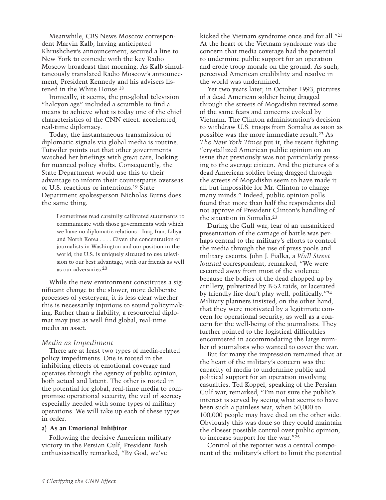Meanwhile, CBS News Moscow correspondent Marvin Kalb, having anticipated Khrushchev's announcement, secured a line to New York to coincide with the key Radio Moscow broadcast that morning. As Kalb simultaneously translated Radio Moscow's announcement, President Kennedy and his advisers listened in the White House.18

Ironically, it seems, the pre-global television "halcyon age" included a scramble to find a means to achieve what is today one of the chief characteristics of the CNN effect: accelerated, real-time diplomacy.

Today, the instantaneous transmission of diplomatic signals via global media is routine. Tutwiler points out that other governments watched her briefings with great care, looking for nuanced policy shifts. Consequently, the State Department would use this to their advantage to inform their counterparts overseas of U.S. reactions or intentions.19 State Department spokesperson Nicholas Burns does the same thing.

> I sometimes read carefully calibrated statements to communicate with those governments with which we have no diplomatic relations—Iraq, Iran, Libya and North Korea . . . . Given the concentration of journalists in Washington and our position in the world, the U.S. is uniquely situated to use television to our best advantage, with our friends as well as our adversaries.20

While the new environment constitutes a significant change to the slower, more deliberate processes of yesteryear, it is less clear whether this is necessarily injurious to sound policymaking. Rather than a liability, a resourceful diplomat may just as well find global, real-time media an asset.

## *Media as Impediment*

There are at least two types of media-related policy impediments. One is rooted in the inhibiting effects of emotional coverage and operates through the agency of public opinion, both actual and latent. The other is rooted in the potential for global, real-time media to compromise operational security, the veil of secrecy especially needed with some types of military operations. We will take up each of these types in order.

#### **a) As an Emotional Inhibitor**

Following the decisive American military victory in the Persian Gulf, President Bush enthusiastically remarked, "By God, we've

kicked the Vietnam syndrome once and for all."21 At the heart of the Vietnam syndrome was the concern that media coverage had the potential to undermine public support for an operation and erode troop morale on the ground. As such, perceived American credibility and resolve in the world was undermined.

Yet two years later, in October 1993, pictures of a dead American soldier being dragged through the streets of Mogadishu revived some of the same fears and concerns evoked by Vietnam. The Clinton administration's decision to withdraw U.S. troops from Somalia as soon as possible was the more immediate result.22 As *The New York Times* put it, the recent fighting "crystallized American public opinion on an issue that previously was not particularly pressing to the average citizen. And the pictures of a dead American soldier being dragged through the streets of Mogadishu seem to have made it all but impossible for Mr. Clinton to change many minds." Indeed, public opinion polls found that more than half the respondents did not approve of President Clinton's handling of the situation in Somalia.23

During the Gulf war, fear of an unsanitized presentation of the carnage of battle was perhaps central to the military's efforts to control the media through the use of press pools and military escorts. John J. Fialka, a *Wall Street Journal* correspondent, remarked, "We were escorted away from most of the violence because the bodies of the dead chopped up by artillery, pulverized by B-52 raids, or lacerated by friendly fire don't play well, politically."24 Military planners insisted, on the other hand, that they were motivated by a legitimate concern for operational security, as well as a concern for the well-being of the journalists. They further pointed to the logistical difficulties encountered in accommodating the large number of journalists who wanted to cover the war.

But for many the impression remained that at the heart of the military's concern was the capacity of media to undermine public and political support for an operation involving casualties. Ted Koppel, speaking of the Persian Gulf war, remarked, "I'm not sure the public's interest is served by seeing what seems to have been such a painless war, when 50,000 to 100,000 people may have died on the other side. Obviously this was done so they could maintain the closest possible control over public opinion, to increase support for the war."25

Control of the reporter was a central component of the military's effort to limit the potential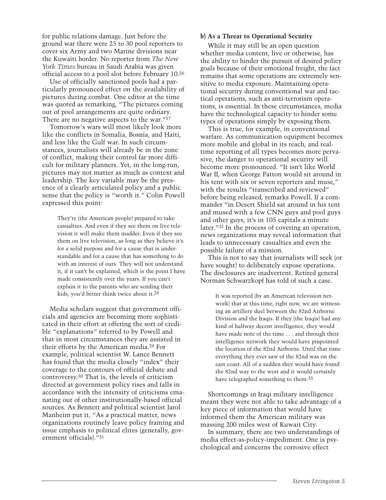for public relations damage. Just before the ground war there were 25 to 30 pool reporters to cover six Army and two Marine divisions near the Kuwaiti border. No reporter from *The New York Times* bureau in Saudi Arabia was given official access to a pool slot before February 10.26

Use of officially sanctioned pools had a particularly pronounced effect on the availability of pictures during combat. One editor at the time was quoted as remarking, "The pictures coming out of pool arrangements are quite ordinary. There are no negative aspects to the war."27

Tomorrow's wars will most likely look more like the conflicts in Somalia, Bosnia, and Haiti, and less like the Gulf war. In such circumstances, journalists will already be in the zone of conflict, making their control far more difficult for military planners. Yet, in the long-run, pictures may not matter as much as context and leadership. The key variable may be the presence of a clearly articulated policy and a public sense that the policy is "worth it." Colin Powell expressed this point:

> They're (the American people) prepared to take casualties. And even if they see them on live television it will make them madder. Even if they see them on live television, as long as they believe it's for a solid purpose and for a cause that is understandable and for a cause that has something to do with an interest of ours. They will not understand it, if it can't be explained, which is the point I have made consistently over the years. If you can't explain it to the parents who are sending their kids, you'd better think twice about it.28

Media scholars suggest that government officials and agencies are becoming more sophisticated in their effort at offering the sort of credible "explanations" referred to by Powell and that in most circumstances they are assisted in their efforts by the American media.29 For example, political scientist W. Lance Bennett has found that the media closely "index" their coverage to the contours of official debate and controversy.30 That is, the levels of criticism directed at government policy rises and falls in accordance with the intensity of criticisms emanating out of other institutionally-based official sources. As Bennett and political scientist Jarol Manheim put it, "As a practical matter, news organizations routinely leave policy framing and issue emphasis to political elites (generally, government officials)."31

## **b) As a Threat to Operational Security**

While it may still be an open question whether media content, live or otherwise, has the ability to hinder the pursuit of desired policy goals because of their emotional freight, the fact remains that some operations are extremely sensitive to media exposure. Maintaining operational security during conventional war and tactical operations, such as anti-terrorism operations, is essential. In these circumstances, media have the technological capacity to hinder some types of operations simply by exposing them.

This is true, for example, in conventional warfare. As communication equipment becomes more mobile and global in its reach, and realtime reporting of all types becomes more pervasive, the danger to operational security will become more pronounced. "It isn't like World War II, when George Patton would sit around in his tent with six or seven reporters and muse," with the results "transcribed and reviewed" before being released, remarks Powell. If a commander "in Desert Shield sat around in his tent and mused with a few CNN guys and pool guys and other guys, it's in 105 capitals a minute later."32 In the process of covering an operation, news organizations may reveal information that leads to unnecessary casualties and even the possible failure of a mission.

This is not to say that journalists will seek (or have sought) to deliberately expose operations. The disclosures are inadvertent. Retired general Norman Schwarzkopf has told of such a case.

> It was reported (by an American television network) that at this time, right now, we are witnessing an artillery duel between the 82nd Airborne Division and the Iraqis. If they (the Iraqis) had any kind of halfway decent intelligence, they would have made note of the time . . . and through their intelligence network they would have pinpointed the location of the 82nd Airborne. Until that time everything they ever saw of the 82nd was on the east coast. All of a sudden they would have found the 82nd way to the west and it would certainly have telegraphed something to them.33

Shortcomings in Iraqi military intelligence meant they were not able to take advantage of a key piece of information that would have informed them the American military was massing 200 miles west of Kuwait City.

In summary, there are two understandings of media effect-as-policy-impediment. One is psychological and concerns the corrosive effect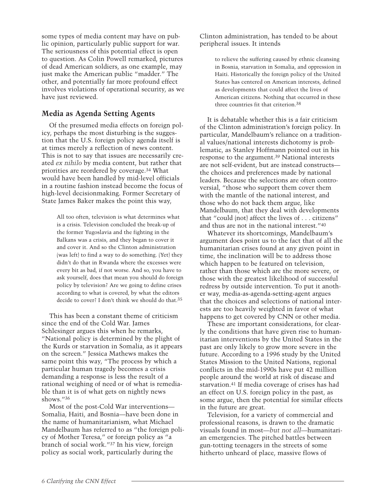some types of media content may have on public opinion, particularly public support for war. The seriousness of this potential effect is open to question. As Colin Powell remarked, pictures of dead American soldiers, as one example, may just make the American public "madder." The other, and potentially far more profound effect involves violations of operational security, as we have just reviewed.

# **Media as Agenda Setting Agents**

Of the presumed media effects on foreign policy, perhaps the most disturbing is the suggestion that the U.S. foreign policy agenda itself is at times merely a reflection of news content. This is not to say that issues are necessarily created *ex nihilo* by media content, but rather that priorities are reordered by coverage.34 What would have been handled by mid-level officials in a routine fashion instead become the focus of high-level decisionmaking. Former Secretary of State James Baker makes the point this way,

> All too often, television is what determines what is a crisis. Television concluded the break-up of the former Yugoslavia and the fighting in the Balkans was a crisis, and they began to cover it and cover it. And so the Clinton administration (was left) to find a way to do something. (Yet) they didn't do that in Rwanda where the excesses were every bit as bad, if not worse. And so, you have to ask yourself, does that mean you should do foreign policy by television? Are we going to define crises according to what is covered, by what the editors decide to cover? I don't think we should do that.35

This has been a constant theme of criticism since the end of the Cold War. James Schlesinger argues this when he remarks, "National policy is determined by the plight of the Kurds or starvation in Somalia, as it appears on the screen." Jessica Mathews makes the same point this way, "The process by which a particular human tragedy becomes a crisis demanding a response is less the result of a rational weighing of need or of what is remediable than it is of what gets on nightly news shows."36

Most of the post-Cold War interventions— Somalia, Haiti, and Bosnia—have been done in the name of humanitarianism, what Michael Mandelbaum has referred to as "the foreign policy of Mother Teresa," or foreign policy as "a branch of social work."37 In his view, foreign policy as social work, particularly during the

Clinton administration, has tended to be about peripheral issues. It intends

> to relieve the suffering caused by ethnic cleansing in Bosnia, starvation in Somalia, and oppression in Haiti. Historically the foreign policy of the United States has centered on American interests, defined as developments that could affect the lives of American citizens. Nothing that occurred in these three countries fit that criterion.38

It is debatable whether this is a fair criticism of the Clinton administration's foreign policy. In particular, Mandelbaum's reliance on a traditional values/national interests dichotomy is problematic, as Stanley Hoffmann pointed out in his response to the argument.39 National interests are not self-evident, but are instead constructs the choices and preferences made by national leaders. Because the selections are often controversial, "those who support them cover them with the mantle of the national interest, and those who do not back them argue, like Mandelbaum, that they deal with developments that "could (not) affect the lives of . . . citizens" and thus are not in the national interest."40

Whatever its shortcomings, Mandelbaum's argument does point us to the fact that of all the humanitarian crises found at any given point in time, the inclination will be to address those which happen to be featured on television, rather than those which are the more severe, or those with the greatest likelihood of successful redress by outside intervention. To put it another way, media-as-agenda-setting-agent argues that the choices and selections of national interests are too heavily weighted in favor of what happens to get covered by CNN or other media.

These are important considerations, for clearly the conditions that have given rise to humanitarian interventions by the United States in the past are only likely to grow more severe in the future. According to a 1996 study by the United States Mission to the United Nations, regional conflicts in the mid-1990s have put 42 million people around the world at risk of disease and starvation.41 If media coverage of crises has had an effect on U.S. foreign policy in the past, as some argue, then the potential for similar effects in the future are great.

Television, for a variety of commercial and professional reasons, is drawn to the dramatic visuals found in most—*but not all*—humanitarian emergencies. The pitched battles between gun-totting teenagers in the streets of some hitherto unheard of place, massive flows of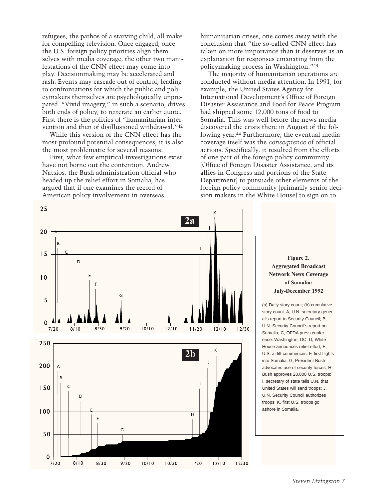refugees, the pathos of a starving child, all make for compelling television. Once engaged, once the U.S. foreign policy priorities align themselves with media coverage, the other two manifestations of the CNN effect may come into play. Decisionmaking may be accelerated and rash. Events may cascade out of control, leading to confrontations for which the public and policymakers themselves are psychologically unprepared. "Vivid imagery," in such a scenario, drives both ends of policy, to reiterate an earlier quote. First there is the politics of "humanitarian intervention and then of disillusioned withdrawal."42

While this version of the CNN effect has the most profound potential consequences, it is also the most problematic for several reasons.

First, what few empirical investigations exist have not borne out the contention. Andrew Natsios, the Bush administration official who headed-up the relief effort in Somalia, has argued that if one examines the record of American policy involvement in overseas

humanitarian crises, one comes away with the conclusion that "the so-called CNN effect has taken on more importance than it deserves as an explanation for responses emanating from the policymaking process in Washington."43

The majority of humanitarian operations are conducted without media attention. In 1991, for example, the United States Agency for International Development's Office of Foreign Disaster Assistance and Food for Peace Program had shipped some 12,000 tons of food to Somalia. This was well before the news media discovered the crisis there in August of the following year.44 Furthermore, the eventual media coverage itself was the *consequence* of official actions. Specifically, it resulted from the efforts of one part of the foreign policy community (Office of Foreign Disaster Assistance, and its allies in Congress and portions of the State Department) to pursuade other elements of the foreign policy community (primarily senior decision makers in the White House) to sign on to



**Figure 2. Aggregated Broadcast Network News Coverage of Somalia: July-December 1992**

(a) Daily story count; (b) cumulative story count. A, U.N. secretary general's report to Security Council; B, U.N. Security Council's report on Somalia; C, OFDA press conference: Washington, DC; D, White House announces relief effort; E, U.S. airlift commences; F, first flights into Somalia; G, President Bush advocates use of security forces; H, Bush approves 28,000 U.S. troops; I, secretary of state tells U.N. that United States will send troops; J, U.N. Security Council authorizes troops; K, first U.S. troops go ashore in Somalia.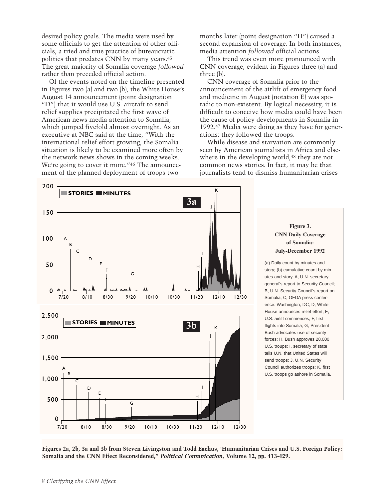desired policy goals. The media were used by some officials to get the attention of other officials, a tried and true practice of bureaucratic politics that predates CNN by many years.45 The great majority of Somalia coverage *followed* rather than preceded official action.

Of the events noted on the timeline presented in Figures two (a) and two (b), the White House's August 14 announcement (point designation "D") that it would use U.S. aircraft to send relief supplies precipitated the first wave of American news media attention to Somalia, which jumped fivefold almost overnight. As an executive at NBC said at the time, "With the international relief effort growing, the Somalia situation is likely to be examined more often by the network news shows in the coming weeks. We're going to cover it more.<sup>"46</sup> The announcement of the planned deployment of troops two

months later (point designation "H") caused a second expansion of coverage. In both instances, media attention *followed* official actions.

This trend was even more pronounced with CNN coverage, evident in Figures three (a) and three (b).

CNN coverage of Somalia prior to the announcement of the airlift of emergency food and medicine in August (notation E) was sporadic to non-existent. By logical necessity, it is difficult to conceive how media could have been the cause of policy developments in Somalia in 1992.47 Media were doing as they have for generations: they followed the troops.

While disease and starvation are commonly seen by American journalists in Africa and elsewhere in the developing world,<sup>48</sup> they are not common news stories. In fact, it may be that journalists tend to dismiss humanitarian crises



**Figures 2a, 2b, 3a and 3b from Steven Livingston and Todd Eachus, 'Humanitarian Crises and U.S. Foreign Policy: Somalia and the CNN Effect Reconsidered,"** *Political Comunication,* **Volume 12, pp. 413-429.**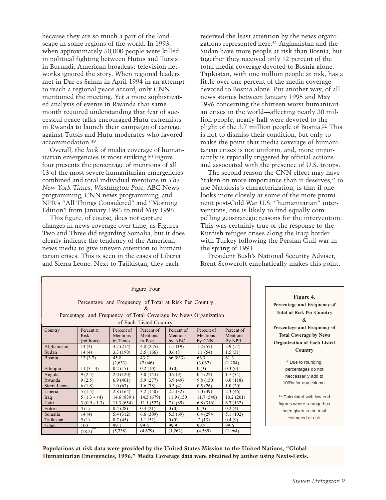because they are so much a part of the landscape in some regions of the world. In 1993, when approximately 50,000 people were killed in political fighting between Hutus and Tutsis in Burundi, American broadcast television networks ignored the story. When regional leaders met in Dar es Salam in April 1994 in an attempt to reach a regional peace accord, only CNN mentioned the meeting. Yet a more sophisticated analysis of events in Rwanda that same month required understanding that fear of successful peace talks encouraged Hutu extremists in Rwanda to launch their campaign of carnage against Tutsis and Hutu moderates who favored accommodation.49

Overall, the *lack* of media coverage of humanitarian emergencies is most striking.50 Figure four presents the percentage of mentions of all 13 of the most severe humanitarian emergencies combined and total individual mentions in *The New York Times*, *Washington Post*, ABC News programming, CNN news programming, and NPR's "All Things Considered" and "Morning Edition" from January 1995 to mid-May 1996.

This figure, of course, does not capture changes in news coverage over time, as Figures Two and Three did regarding Somalia, but it does clearly indicate the tendency of the American news media to give uneven attention to humanitarian crises. This is seen in the cases of Liberia and Sierra Leone. Next to Tajikistan, they each

received the least attention by the news organizations represented here.51 Afghanistan and the Sudan have more people at risk than Bosnia, but together they received only 12 percent of the total media coverage devoted to Bosnia alone. Tajikistan, with one million people at risk, has a little over one percent of the media coverage devoted to Bosnia alone. Put another way, of all news stories between January 1995 and May 1996 concerning the thirteen worst humanitarian crises in the world—affecting nearly 30 million people, nearly half were devoted to the plight of the 3.7 million people of Bosnia.52 This is not to dismiss their condition, but only to make the point that media coverage of humanitarian crises is not uniform, and, more importantly is typically triggered by official actions and associated with the presence of U.S. troops.

The second reason the CNN effect may have "taken on more importance than it deserves," to use Natsiosis's characterization, is that if one looks more closely at some of the more prominent post-Cold War U.S. "humanitarian" interventions, one is likely to find equally compelling geostrategic reasons for the intervention. This was certainly true of the response to the Kurdish refugee crises along the Iraqi border with Turkey following the Persian Gulf war in the spring of 1991.

President Bush's National Security Adviser, Brent Scowcroft emphatically makes this point:

|              |                                                                                                                          |                                                                                   | Figure Four     |            |                 |                 |                                    |
|--------------|--------------------------------------------------------------------------------------------------------------------------|-----------------------------------------------------------------------------------|-----------------|------------|-----------------|-----------------|------------------------------------|
|              | Percentage and Frequency of Total at Risk Per Country<br>Percentage and Frequency of Total Coverage by News Organization | Figure 4.<br>Percentage and Frequency of<br><b>Total at Risk Per Country</b><br>& |                 |            |                 |                 |                                    |
| Country      | Percent at                                                                                                               | Percent of                                                                        | Percent of      | Percent of | Percent of      | Percent of      | Percentage and Frequency of        |
|              | <b>Risk</b>                                                                                                              | <b>Mentions</b>                                                                   | <b>Mentions</b> | Mentions   | <b>Mentions</b> | <b>Mentions</b> | <b>Total Coverage by News</b>      |
|              | (millions)                                                                                                               | in Times                                                                          | in Post         | by ABC     | by CNN          | By NPR          | <b>Organization of Each Listed</b> |
| Afghanistan  | 14(4)                                                                                                                    | 4.7(274)                                                                          | 4.8(225)        | 1.5(19)    | 1.2(57)         | 2.9(57)         |                                    |
| Sudan        | 14(4)                                                                                                                    | 3.3(190)                                                                          | 3.5(166)        | 0.6(8)     | 1.1(54)         | 1.5(31)         | Country                            |
| Bosnia       | 13(3.7)                                                                                                                  | 45.8                                                                              | 43.7            | 66 (833)   | 66.7            | 61.3            |                                    |
|              |                                                                                                                          | (2,633)                                                                           | (2,046)         |            | (3.062)         | (1,204)         | * Due to rounding,                 |
| Ethiopia     | $11(3-4)$                                                                                                                | 0.2(15)                                                                           | 0.2(10)         | 0(0)       | 0(3)            | 0.3(6)          | percentages do not                 |
| Angola       | 9(2.5)                                                                                                                   | 2.0(120)                                                                          | 3.0(144)        | 0.7(9)     | 0.4(22)         | 1.7(34)         | neccessarily add to                |
| Rwanda       | 9(2.5)                                                                                                                   | 6.9(401)                                                                          | 5.9(277)        | 3.9(49)    | 9.8(150)        | 6.0(118)        | 100% for any column.               |
| Sierra Leone | 6(1.8)                                                                                                                   | 1.0(63)                                                                           | 1.6(78)         | 0.3(4)     | 0.5(26)         | 1.0(20)         |                                    |
| Liberia      | 5(1.5)                                                                                                                   | 2.8(164)                                                                          | 3.2(150)        | 2.5(32)    | 1.0(49)         | 2.3(46)         |                                    |
| Iraq         | $5(1.3 - 4)$                                                                                                             | 14.6 (839)                                                                        | 14.5 (679)      | 11.9(150)  | 11.7(540)       | 10.2(201)       | ** Calculated with low end         |
| Haiti        | $3(0.9 - 1.3)$                                                                                                           | 11.3(654)                                                                         | 11.1(522)       | 7.0(89)    | 6.8(316)        | 6.7(132)        | figures where a range has          |
| Eritrea      | 4(1)                                                                                                                     | 0.4(28)                                                                           | 0.4(21)         | 0(0)       | 0(3)            | 0.2(4)          | been given in the total            |
| Somalia      | 14(4)                                                                                                                    | 5.4 (312)                                                                         | 6.6(309)        | 5.5(69)    | 6.4(294)        | 5.1(102)        |                                    |
| Tajikistan   | 5(1)                                                                                                                     | 0.7(45)                                                                           | 1.1(52)         | 0(0)       | .2(13)          | 0.4(9)          | estimated at risk.                 |
| Totals       | 100                                                                                                                      | 99.1                                                                              | 99.6            | 99.9       | 99.2            | 99.6            |                                    |
|              | **<br>(28.2)                                                                                                             | (5,738)                                                                           | (4,679)         | (1,262)    | (4,589)         | (1,964)         |                                    |

**Populations at risk data were provided by the United States Mission to the United Nations, "Global Humanitarian Emergencies, 1996." Media Coverage data were obtained by author using Nexis-Lexis.**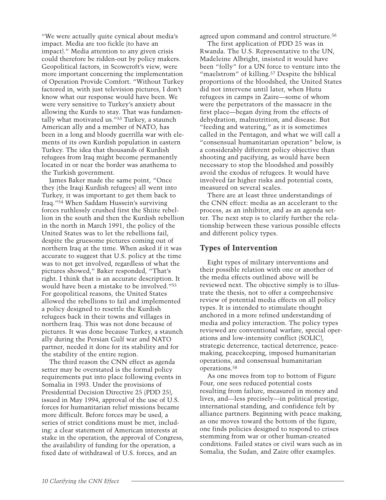"We were actually quite cynical about media's impact. Media are too fickle (to have an impact)." Media attention to any given crisis could therefore be ridden-out by policy makers. Geopolitical factors, in Scowcroft's view, were more important concerning the implementation of Operation Provide Comfort. "Without Turkey factored in, with just television pictures, I don't know what our response would have been. We were very sensitive to Turkey's anxiety about allowing the Kurds to stay. That was fundamentally what motivated us."53 Turkey, a staunch American ally and a member of NATO, has been in a long and bloody guerrilla war with elements of its own Kurdish population in eastern Turkey. The idea that thousands of Kurdish refugees from Iraq might become permanently located in or near the border was anathema to the Turkish government.

James Baker made the same point, "Once they (the Iraqi Kurdish refugees) all went into Turkey, it was important to get them back to Iraq."54 When Saddam Hussein's surviving forces ruthlessly crushed first the Shiite rebellion in the south and then the Kurdish rebellion in the north in March 1991, the policy of the United States was to let the rebellions fail, despite the gruesome pictures coming out of northern Iraq at the time. When asked if it was accurate to suggest that U.S. policy at the time was to not get involved, regardless of what the pictures showed," Baker responded, "That's right. I think that is an accurate description. It would have been a mistake to be involved."55 For geopolitical reasons, the United States allowed the rebellions to fail and implemented a policy designed to resettle the Kurdish refugees back in their towns and villages in northern Iraq. This was not done because of pictures. It was done because Turkey, a staunch ally during the Persian Gulf war and NATO partner, needed it done for its stability and for the stability of the entire region.

The third reason the CNN effect as agenda setter may be overstated is the formal policy requirements put into place following events in Somalia in 1993. Under the provisions of Presidential Decision Directive 25 (PDD 25), issued in May 1994, approval of the use of U.S. forces for humanitarian relief missions became more difficult. Before forces may be used, a series of strict conditions must be met, including: a clear statement of American interests at stake in the operation, the approval of Congress, the availability of funding for the operation, a fixed date of withdrawal of U.S. forces, and an

agreed upon command and control structure.56

The first application of PDD 25 was in Rwanda. The U.S. Representative to the UN, Madeleine Albright, insisted it would have been "folly" for a UN force to venture into the "maelstrom" of killing.<sup>57</sup> Despite the biblical proportions of the bloodshed, the United States did not intervene until later, when Hutu refugees in camps in Zaire—some of whom were the perpetrators of the massacre in the first place—began dying from the effects of dehydration, malnutrition, and disease. But "feeding and watering," as it is sometimes called in the Pentagon, and what we will call a "consensual humanitarian operation" below, is a considerably different policy objective than shooting and pacifying, as would have been necessary to stop the bloodshed and possibly avoid the exodus of refugees. It would have involved far higher risks and potential costs, measured on several scales.

There are at least three understandings of the CNN effect: media as an accelerant to the process, as an inhibitor, and as an agenda setter. The next step is to clarify further the relationship between these various possible effects and different policy types.

## **Types of Intervention**

Eight types of military interventions and their possible relation with one or another of the media effects outlined above will be reviewed next. The objective simply is to illustrate the thesis, not to offer a comprehensive review of potential media effects on all policy types. It is intended to stimulate thought anchored in a more refined understanding of media and policy interaction. The policy types reviewed are conventional warfare, special operations and low-intensity conflict (SOLIC), strategic deterrence, tactical deterrence, peacemaking, peacekeeping, imposed humanitarian operations, and consensual humanitarian operations.58

As one moves from top to bottom of Figure Four, one sees reduced potential costs resulting from failure, measured in money and lives, and—less precisely—in political prestige, international standing, and confidence felt by alliance partners. Beginning with peace making, as one moves toward the bottom of the figure, one finds policies designed to respond to crises stemming from war or other human-created conditions. Failed states or civil wars such as in Somalia, the Sudan, and Zaire offer examples.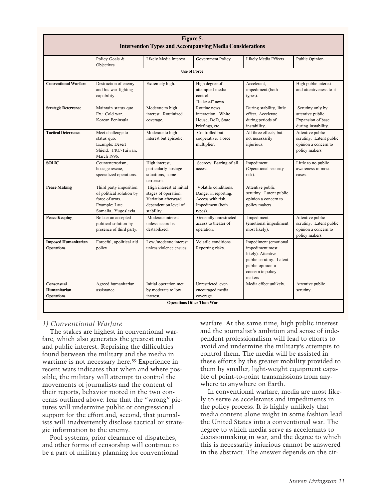| Figure 5.<br><b>Intervention Types and Accompanying Media Considerations</b> |                                                                                                               |                                                                                                                |                                                                                                  |                                                                                                                                              |                                                                                      |  |  |  |  |  |
|------------------------------------------------------------------------------|---------------------------------------------------------------------------------------------------------------|----------------------------------------------------------------------------------------------------------------|--------------------------------------------------------------------------------------------------|----------------------------------------------------------------------------------------------------------------------------------------------|--------------------------------------------------------------------------------------|--|--|--|--|--|
|                                                                              | Policy Goals &<br>Objectives                                                                                  | Likely Media Interest                                                                                          | Government Policy                                                                                | Likely Media Effects                                                                                                                         | Public Opinion                                                                       |  |  |  |  |  |
| <b>Use of Force</b>                                                          |                                                                                                               |                                                                                                                |                                                                                                  |                                                                                                                                              |                                                                                      |  |  |  |  |  |
| <b>Conventional Warfare</b>                                                  | Destruction of enemy<br>and his war-fighting<br>capability.                                                   | Extremely high.                                                                                                | High degree of<br>attempted media<br>control.<br>"Indexed" news                                  | Accelerant.<br>impediment (both<br>types).                                                                                                   | High public interest<br>and attentiveness to it                                      |  |  |  |  |  |
| <b>Strategic Deterrence</b>                                                  | Maintain status quo.<br>Ex.: Cold war.<br>Korean Peninsula.                                                   | Moderate to high<br>interest. Routinized<br>coverage.                                                          | Routine news<br>interaction. White<br>House, DoD, State<br>briefings, etc.                       | During stability, little<br>effect. Accelerate<br>during periods of<br>instability.                                                          | Scrutiny only by<br>attentive public.<br>Expansion of base<br>during instability.    |  |  |  |  |  |
| <b>Tactical Deterrence</b>                                                   | Meet challenge to<br>status quo.<br>Example: Desert<br>Shield. PRC-Taiwan,<br>March 1996.                     | Moderate to high<br>interest but episodic.                                                                     | Controlled but<br>cooperative. Force<br>multiplier.                                              | All three effects, but<br>not necessarily<br>injurious.                                                                                      | Attentive public<br>scrutiny. Latent public<br>opinion a concern to<br>policy makers |  |  |  |  |  |
| <b>SOLIC</b>                                                                 | Counterterrorism.<br>hostage rescue,<br>specialized operations.                                               | High interest,<br>particularly hostage<br>situations, some<br>terrorism.                                       | Secrecy. Barring of all<br>access.                                                               | Impediment<br>(Operational security<br>risk).                                                                                                | Little to no public<br>awareness in most<br>cases.                                   |  |  |  |  |  |
| <b>Peace Making</b>                                                          | Third party imposition<br>of political solution by<br>force of arms.<br>Example: Late<br>Somalia, Yugoslavia. | High interest at initial<br>stages of operation.<br>Variation afterward<br>dependent on level of<br>stability. | Volatile conditions.<br>Danger in reporting.<br>Access with risk.<br>Impediment (both<br>types). | Attentive public<br>scrutiny. Latent public<br>opinion a concern to<br>policy makers                                                         |                                                                                      |  |  |  |  |  |
| <b>Peace Keeping</b>                                                         | Bolster an accepted<br>political solution by<br>presence of third party.                                      | Moderate interest<br>unless accord is<br>destabilized.                                                         | Generally unrestricted<br>access to theater of<br>operation.                                     | Impediment<br>(emotional impediment<br>most likely).                                                                                         | Attentive public<br>scrutiny. Latent public<br>opinion a concern to<br>policy makers |  |  |  |  |  |
| <b>Imposed Humanitarian</b><br><b>Operations</b>                             | Forceful, apolitical aid<br>policy                                                                            | Low /moderate interest<br>unless violence ensues.                                                              | Volatile conditions.<br>Reporting risky.                                                         | Impediment (emotional<br>impediment most<br>likely). Attentive<br>public scrutiny. Latent<br>public opinion a<br>concern to policy<br>makers |                                                                                      |  |  |  |  |  |
| Consensual<br>Humanitarian<br><b>Operations</b>                              | Agreed humanitarian<br>assistance.                                                                            | Initial operation met<br>by moderate to low<br>interest.<br><b>Operations Other Than War</b>                   | Unrestricted, even<br>encouraged media<br>coverage.                                              | Media effect unlikely.                                                                                                                       | Attentive public<br>scrutiny.                                                        |  |  |  |  |  |
|                                                                              |                                                                                                               |                                                                                                                |                                                                                                  |                                                                                                                                              |                                                                                      |  |  |  |  |  |

# *1) Conventional Warfare*

The stakes are highest in conventional warfare, which also generates the greatest media and public interest. Reprising the difficulties found between the military and the media in wartime is not necessary here.59 Experience in recent wars indicates that when and where possible, the military will attempt to control the movements of journalists and the content of their reports, behavior rooted in the two concerns outlined above: fear that the "wrong" pictures will undermine public or congressional support for the effort and, second, that journalists will inadvertently disclose tactical or strategic information to the enemy.

Pool systems, prior clearance of dispatches, and other forms of censorship will continue to be a part of military planning for conventional warfare. At the same time, high public interest and the journalist's ambition and sense of independent professionalism will lead to efforts to avoid and undermine the military's attempts to control them. The media will be assisted in these efforts by the greater mobility provided to them by smaller, light-weight equipment capable of point-to-point transmissions from anywhere to anywhere on Earth.

In conventional warfare, media are most likely to serve as accelerants and impediments in the policy process. It is highly unlikely that media content alone might in some fashion lead the United States into a conventional war. The degree to which media serve as accelerants to decisionmaking in war, and the degree to which this is necessarily injurious cannot be answered in the abstract. The answer depends on the cir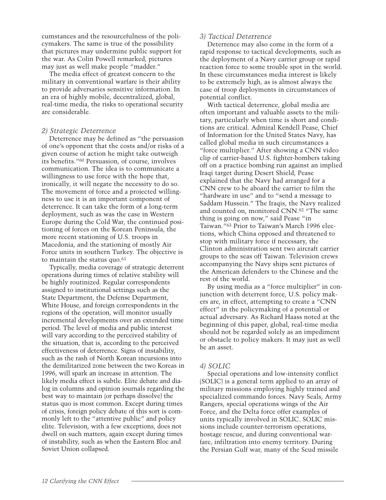cumstances and the resourcefulness of the policymakers. The same is true of the possibility that pictures may undermine public support for the war. As Colin Powell remarked, pictures may just as well make people "madder."

The media effect of greatest concern to the military in conventional warfare is their ability to provide adversaries sensitive information. In an era of highly mobile, decentralized, global, real-time media, the risks to operational security are considerable.

## *2) Strategic Deterrence*

Deterrence may be defined as "the persuasion of one's opponent that the costs and/or risks of a given course of action he might take outweigh its benefits."60 Persuasion, of course, involves communication. The idea is to communicate a willingness to use force with the hope that, ironically, it will negate the necessity to do so. The movement of force and a projected willingness to use it is an important component of deterrence. It can take the form of a long-term deployment, such as was the case in Western Europe during the Cold War, the continued positioning of forces on the Korean Peninsula, the more recent stationing of U.S. troops in Macedonia, and the stationing of mostly Air Force units in southern Turkey. The objective is to maintain the status quo.<sup>61</sup>

Typically, media coverage of strategic deterrent operations during times of relative stability will be highly routinized. Regular correspondents assigned to institutional settings such as the State Department, the Defense Department, White House, and foreign correspondents in the regions of the operation, will monitor usually incremental developments over an extended time period. The level of media and public interest will vary according to the perceived stability of the situation, that is, according to the perceived effectiveness of deterrence. Signs of instability, such as the rash of North Korean incursions into the demilitarized zone between the two Koreas in 1996, will spark an increase in attention. The likely media effect is subtle. Elite debate and dialog in columns and opinion journals regarding the best way to maintain (or perhaps dissolve) the status quo is most common. Except during times of crisis, foreign policy debate of this sort is commonly left to the "attentive public" and policy elite. Television, with a few exceptions, does not dwell on such matters, again except during times of instability, such as when the Eastern Bloc and Soviet Union collapsed.

## *3) Tactical Deterrence*

Deterrence may also come in the form of a rapid response to tactical developments, such as the deployment of a Navy carrier group or rapid reaction force to some trouble spot in the world. In these circumstances media interest is likely to be extremely high, as is almost always the case of troop deployments in circumstances of potential conflict.

With tactical deterrence, global media are often important and valuable assets to the military, particularly when time is short and conditions are critical. Admiral Kendell Pease, Chief of Information for the United States Navy, has called global media in such circumstances a "force multiplier." After showing a CNN video clip of carrier-based U.S. fighter-bombers taking off on a practice bombing run against an implied Iraqi target during Desert Shield, Pease explained that the Navy had arranged for a CNN crew to be aboard the carrier to film the "hardware in use" and to "send a message to Saddam Hussein." The Iraqis, the Navy realized and counted on, monitored CNN.62 "The same thing is going on now," said Pease "in Taiwan."63 Prior to Taiwan's March 1996 elections, which China opposed and threatened to stop with military force if necessary, the Clinton administration sent two aircraft carrier groups to the seas off Taiwan. Television crews accompanying the Navy ships sent pictures of the American defenders to the Chinese and the rest of the world.

By using media as a "force multiplier" in conjunction with deterrent force, U.S. policy makers are, in effect, attempting to create a "CNN effect" in the policymaking of a potential or actual adversary. As Richard Haass noted at the beginning of this paper, global, real-time media should not be regarded solely as an impediment or obstacle to policy makers. It may just as well be an asset.

## *4) SOLIC*

Special operations and low-intensity conflict (SOLIC) is a general term applied to an array of military missions employing highly trained and specialized commando forces. Navy Seals, Army Rangers, special operations wings of the Air Force, and the Delta force offer examples of units typically involved in SOLIC. SOLIC missions include counter-terrorism operations, hostage rescue, and during conventional warfare, infiltration into enemy territory. During the Persian Gulf war, many of the Scud missile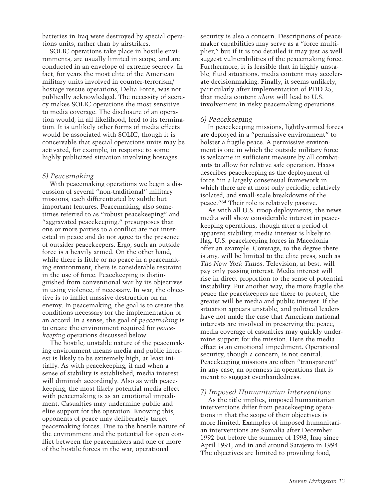batteries in Iraq were destroyed by special operations units, rather than by airstrikes.

SOLIC operations take place in hostile environments, are usually limited in scope, and are conducted in an envelope of extreme secrecy. In fact, for years the most elite of the American military units involved in counter-terrorism/ hostage rescue operations, Delta Force, was not publically acknowledged. The necessity of secrecy makes SOLIC operations the most sensitive to media coverage. The disclosure of an operation would, in all likelihood, lead to its termination. It is unlikely other forms of media effects would be associated with SOLIC, though it is conceivable that special operations units may be activated, for example, in response to some highly publicized situation involving hostages.

## *5) Peacemaking*

With peacemaking operations we begin a discussion of several "non-traditional" military missions, each differentiated by subtle but important features. Peacemaking, also sometimes referred to as "robust peacekeeping" and "aggravated peacekeeping," presupposes that one or more parties to a conflict are not interested in peace and do not agree to the presence of outsider peacekeepers. Ergo, such an outside force is a heavily armed. On the other hand, while there is little or no peace in a peacemaking environment, there is considerable restraint in the use of force. Peacekeeping is distinguished from conventional war by its objectives in using violence, if necessary. In war, the objective is to inflict massive destruction on an enemy. In peacemaking, the goal is to create the conditions necessary for the implementation of an accord. In a sense, the goal of *peacemaking* is to create the environment required for *peacekeeping* operations discussed below.

The hostile, unstable nature of the peacemaking environment means media and public interest is likely to be extremely high, at least initially. As with peacekeeping, if and when a sense of stability is established, media interest will diminish accordingly. Also as with peacekeeping, the most likely potential media effect with peacemaking is as an emotional impediment. Casualties may undermine public and elite support for the operation. Knowing this, opponents of peace may deliberately target peacemaking forces. Due to the hostile nature of the environment and the potential for open conflict between the peacemakers and one or more of the hostile forces in the war, operational

security is also a concern. Descriptions of peacemaker capabilities may serve as a "force multiplier," but if it is too detailed it may just as well suggest vulnerabilities of the peacemaking force. Furthermore, it is feasible that in highly unstable, fluid situations, media content may accelerate decisionmaking. Finally, it seems unlikely, particularly after implementation of PDD 25, that media content *alone* will lead to U.S. involvement in risky peacemaking operations.

## *6) Peacekeeping*

In peacekeeping missions, lightly-armed forces are deployed in a "permissive environment" to bolster a fragile peace. A permissive environment is one in which the outside military force is welcome in sufficient measure by all combatants to allow for relative safe operation. Haass describes peacekeeping as the deployment of force "in a largely consensual framework in which there are at most only periodic, relatively isolated, and small-scale breakdowns of the peace."64 Their role is relatively passive.

As with all U.S. troop deployments, the news media will show considerable interest in peacekeeping operations, though after a period of apparent stability, media interest is likely to flag. U.S. peacekeeping forces in Macedonia offer an example. Coverage, to the degree there is any, will be limited to the elite press, such as *The New York Times*. Television, at best, will pay only passing interest. Media interest will rise in direct proportion to the sense of potential instability. Put another way, the more fragile the peace the peacekeepers are there to protect, the greater will be media and public interest. If the situation appears unstable, and political leaders have not made the case that American national interests are involved in preserving the peace, media coverage of casualties may quickly undermine support for the mission. Here the media effect is an emotional impediment. Operational security, though a concern, is not central. Peacekeeping missions are often "transparent" in any case, an openness in operations that is meant to suggest evenhandedness.

### *7) Imposed Humanitarian Interventions*

As the title implies, imposed humanitarian interventions differ from peacekeeping operations in that the scope of their objectives is more limited. Examples of imposed humanitarian interventions are Somalia after December 1992 but before the summer of 1993, Iraq since April 1991, and in and around Sarajevo in 1994. The objectives are limited to providing food,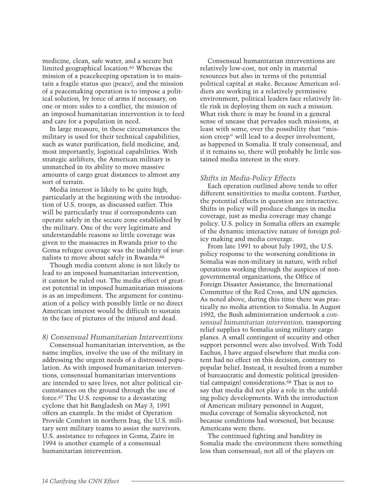medicine, clean, safe water, and a secure but limited geographical location.65 Whereas the mission of a peacekeeping operation is to maintain a fragile status quo (peace), and the mission of a peacemaking operation is to impose a political solution, by force of arms if necessary, on one or more sides to a conflict, the mission of an imposed humanitarian intervention is to feed and care for a population in need.

In large measure, in these circumstances the military is used for their technical capabilities, such as water purification, field medicine, and, most importantly, logistical capabilities. With strategic airlifters, the American military is unmatched in its ability to move massive amounts of cargo great distances to almost any sort of terrain.

Media interest is likely to be quite high, particularly at the beginning with the introduction of U.S. troops, as discussed earlier. This will be particularly true if correspondents can operate safely in the secure zone established by the military. One of the very legitimate and understandable reasons so little coverage was given to the massacres in Rwanda prior to the Goma refugee coverage was the inability of journalists to move about safely in Rwanda.66

Though media content alone is not likely to lead to an imposed humanitarian intervention, it cannot be ruled out. The media effect of greatest potential in imposed humanitarian missions is as an impediment. The argument for continuation of a policy with possibly little or no direct American interest would be difficult to sustain in the face of pictures of the injured and dead.

#### *8) Consensual Humanitarian Interventions*

Consensual humanitarian intervention, as the name implies, involve the use of the military in addressing the urgent needs of a distressed population. As with imposed humanitarian interventions, consensual humanitarian interventions are intended to save lives, not alter political circumstances on the ground through the use of force.67 The U.S. response to a devastating cyclone that hit Bangladesh on May 3, 1991 offers an example. In the midst of Operation Provide Comfort in northern Iraq, the U.S. military sent military teams to assist the survivors. U.S. assistance to refugees in Goma, Zaire in 1994 is another example of a consensual humanitarian intervention.

Consensual humanitarian interventions are relatively low-cost, not only in material resources but also in terms of the potential political capital at stake. Because American soldiers are working in a relatively permissive environment, political leaders face relatively little risk in deploying them on such a mission. What risk there is may be found in a general sense of unease that pervades such missions, at least with some, over the possibility that "mission creep" will lead to a deeper involvement, as happened in Somalia. If truly consensual, and if it remains so, there will probably be little sustained media interest in the story.

#### *Shifts in Media-Policy Effects*

Each operation outlined above tends to offer different sensitivities to media content. Further, the potential effects in question are interactive. Shifts in policy will produce changes in media coverage, just as media coverage may change policy. U.S. policy in Somalia offers an example of the dynamic interactive nature of foreign policy making and media coverage.

From late 1991 to about July 1992, the U.S. policy response to the worsening conditions in Somalia was non-military in nature, with relief operations working through the auspices of nongovernmental organizations, the Office of Foreign Disaster Assistance, the International Committee of the Red Cross, and UN agencies. As noted above, during this time there was practically no media attention to Somalia. In August 1992, the Bush administration undertook a *consensual humanitarian intervention,* transporting relief supplies to Somalia using military cargo planes. A small contingent of security and other support personnel were also involved. With Todd Eachus, I have argued elsewhere that media content had no effect on this decision, contrary to popular belief. Instead, it resulted from a number of bureaucratic and domestic political (presidential campaign) considerations.68 That is not to say that media did not play a role in the unfolding policy developments. With the introduction of American military personnel in August, media coverage of Somalia skyrocketed, not because conditions had worsened, but because Americans were there.

The continued fighting and banditry in Somalia made the environment there something less than consensual; not all of the players on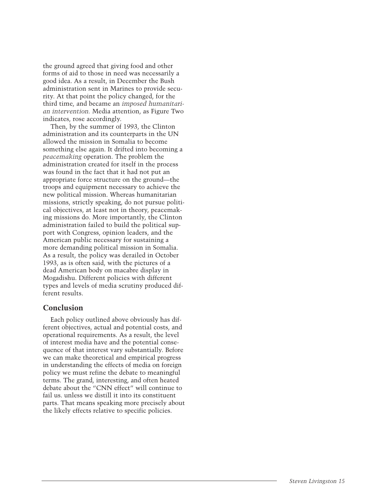the ground agreed that giving food and other forms of aid to those in need was necessarily a good idea. As a result, in December the Bush administration sent in Marines to provide secu rity. At that point the policy changed, for the third time, and became an *imposed humanitari an intervention.* Media attention, as Figure Two indicates, rose accordingly .

Then, by the summer of 1993, the Clinton administration and its counterparts in the UN allowed the mission in Somalia to become something else again. It drifted into becoming a *peacemaking* operation. The problem the administration created for itself in the process was found in the fact that it had not put an appropriate force structure on the ground—the troops and equipment necessary to achieve the new political mission. Whereas humanitarian missions, strictly speaking, do not pursue politi cal objectives, at least not in theor y, peacemak ing missions do. More importantly, the Clinton administration failed to build the political sup port with Congress, opinion leaders, and the American public necessary for sustaining a more demanding political mission in Somalia. As a result, the policy was derailed in October 1993, as is often said, with the pictures of a dead American body on macabre display in Mogadishu. Different policies with different types and levels of media scrutiny produced dif ferent results.

## **Conclusion**

Each policy outlined above obviously has dif ferent objectives, actual and potential costs, and operational requirements. As a result, the level of interest media have and the potential conse quence of that interest vary substantially. Befor e we can make theoretical and empirical progress in understanding the effects of media on foreign policy we must refine the debate to meaningful terms. The grand, interesting, and often heated debate about the "CNN effect" will continue to fail us. unless we distill it into its constituent parts. That means speaking more precisely about the likely effects relative to specific policies.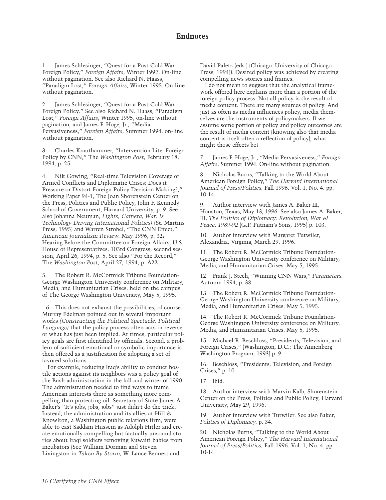# **Endnotes**

1. James Schlesinger, "Quest for a Post-Cold War Foreign Policy," *Foreign Affairs*, Winter 1992. On-line without pagination. See also Richard N. Haass, "Paradigm Lost," *Foreign Affairs*, Winter 1995. On-line without pagination.

2. James Schlesinger, "Quest for a Post-Cold War Foreign Policy." See also Richard N. Haass, "Paradigm Lost," *Foreign Affairs*, Winter 1995, on-line without pagination, and James F. Hoge, Jr., "Media Pervasiveness," *Foreign Affairs*, Summer 1994, on-line without pagination.

3. Charles Krauthammer, "Intervention Lite: Foreign Policy by CNN," The *Washington Post*, February 18, 1994, p. 25.

4. Nik Gowing, "Real-time Television Coverage of Armed Conflicts and Diplomatic Crises: Does it Pressure or Distort Foreign Policy Decision Making?," Working Paper 94-1, The Joan Shorenstein Center on the Press, Politics and Public Policy, John F. Kennedy School of Government, Harvard University, p. 9. See also Johanna Neuman, *Lights, Camera, War: Is Technology Driving International Politics?* (St. Martins Press, 1995) and Warren Strobel, "The CNN Effect," *American Journalism Review,* May 1996, p. 32; Hearing Before the Committee on Foreign Affairs, U.S. House of Representatives, 103rd Congress, second session, April 26, 1994, p. 5. See also "For the Record," The *Washington Post*, April 27, 1994, p. A22.

5. The Robert R. McCormick Tribune Foundation-George Washington University conference on Military, Media, and Humanitarian Crises, held on the campus of The George Washington University, May 5, 1995.

6. This does not exhaust the possibilities, of course. Murray Edelman pointed out in several important works *(Constructing the Political Spectacle, Political Language)* that the policy process often acts in reverse of what has just been implied. At times, particular policy goals are first identified by officials. Second, a problem of sufficient emotional or symbolic importance is then offered as a justification for adopting a set of favored solutions.

For example, reducing Iraq's ability to conduct hostile actions against its neighbors was a policy goal of the Bush administration in the fall and winter of 1990. The administration needed to find ways to frame American interests there as something more compelling than protecting oil. Secretary of State James A. Baker's "It's jobs, jobs, jobs" just didn't do the trick. Instead, the administration and its allies at Hill & Knowlton, a Washington public relations firm, were able to cast Saddam Hussein as Adolph Hitler and create emotionally compelling but factually unsound stories about Iraqi soldiers removing Kuwaiti babies from incubators (See William Dorman and Steven Livingston in *Taken By Storm,* W. Lance Bennett and

David Paletz (eds.) (Chicago: University of Chicago Press, 1994)). Desired policy was achieved by creating compelling news stories and frames.

I do not mean to suggest that the analytical framework offered here explains more than a portion of the foreign policy process. Not all policy is the result of media content. There are many sources of policy. And just as often as media influences policy, media themselves are the instruments of policymakers. If we assume some portion of policy and policy outcomes are the result of media content (knowing also that media content is itself often a reflection of policy), what might those effects be?

7. James F. Hoge, Jr., "Media Pervasiveness," *Foreign Affairs*, Summer 1994. On-line without pagination.

8. Nicholas Burns, "Talking to the World About American Foreign Policy," *The Harvard International Journal of Press/Politics,* Fall 1996. Vol. 1, No. 4. pp. 10-14.

9. Author interview with James A. Baker III, Houston, Texas, May 13, 1996. See also James A. Baker, III, *The Politics of Diplomacy: Revolution, War & Peace, 1989-92* (G.P. Putnam's Sons, 1995) p. 103.

10. Author interview with Margaret Tutwiler, Alexandria, Virginia, March 29, 1996.

11. The Robert R. McCormick Tribune Foundation-George Washington University conference on Military, Media, and Humanitarian Crises. May 5, 1995.

12. Frank J. Stech, "Winning CNN Wars," *Parameters,* Autumn 1994, p. 38.

13. The Robert R. McCormick Tribune Foundation-George Washington University conference on Military, Media, and Humanitarian Crises. May 5, 1995.

14. The Robert R. McCormick Tribune Foundation-George Washington University conference on Military, Media, and Humanitarian Crises. May 5, 1995.

15. Michael R. Beschloss, "Presidents, Television, and Foreign Crises," (Washington, D.C.: The Annenberg Washington Program, 1993) p. 9.

16. Beschloss, "Presidents, Television, and Foreign Crises," p. 10.

17. Ibid.

18. Author interview with Marvin Kalb, Shorenstein Center on the Press, Politics and Public Policy, Harvard University, May 29, 1996.

19. Author interview with Tutwiler. See also Baker, *Politics of Diplomacy,* p. 34.

20. Nicholas Burns, "Talking to the World About American Foreign Policy," *The Harvard International Journal of Press/Politics,* Fall 1996. Vol. 1, No. 4. pp. 10-14.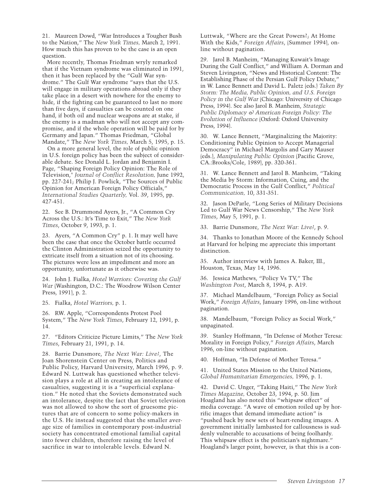21. Maureen Dowd, "War Introduces a Tougher Bush to the Nation," The *New York Times,* March 2, 1991. How much this has proven to be the case is an open question.

More recently, Thomas Friedman wryly remarked that if the Vietnam syndrome was eliminated in 1991, then it has been replaced by the "Gulf War syndrome." The Gulf War syndrome "says that the U.S. will engage in military operations abroad only if they take place in a desert with nowhere for the enemy to hide, if the fighting can be guaranteed to last no more than five days, if casualties can be counted on one hand, if both oil and nuclear weapons are at stake, if the enemy is a madman who will not accept any compromise, and if the whole operation will be paid for by Germany and Japan." Thomas Friedman, "Global Mandate," The *New York Times,* March 5, 1995, p. 15.

On a more general level, the role of public opinion in U.S. foreign policy has been the subject of considerable debate. See Donald L. Jordan and Benjamin I. Page, "Shaping Foreign Policy Opinion: The Role of Television," *Journal of Conflict Resolution,* June 1992, pp. 227-241; Philip J. Powlick, "The Sources of Public Opinion for American Foreign Policy Officials," *International Studies Quarterly,* Vol. 39, 1995, pp. 427-451.

22. See B. Drummond Ayers, Jr., "A Common Cry Across the U.S.: It's Time to Exit," The *New York Times*, October 9, 1993, p. 1.

23. Ayers, "A Common Cry" p. 1. It may well have been the case that once the October battle occurred the Clinton Administration seized the opportunity to extricate itself from a situation not of its choosing. The pictures were less an impediment and more an opportunity, unfortunate as it otherwise was.

24. John J. Fialka, *Hotel Warriors: Covering the Gulf War* (Washington, D.C.: The Woodrow Wilson Center Press, 1991), p. 2.

25. Fialka, *Hotel Warriors,* p. 1.

26. RW. Apple, "Correspondents Protest Pool System," The *New York Times*, February 12, 1991, p. 14.

27. "Editors Criticize Picture Limits," The *New York Times*, February 21, 1991, p. 14.

28. Barrie Dunsmore, *The Next War: Live?*, The Joan Shorenstein Center on Press, Politics and Public Policy, Harvard University, March 1996, p. 9. Edward N. Luttwak has questioned whether television plays a role at all in creating an intolerance of casualties, suggesting it is a "superficial explanation." He noted that the Soviets demonstrated such an intolerance, despite the fact that Soviet television was not allowed to show the sort of gruesome pictures that are of concern to some policy-makers in the U.S. He instead suggested that the smaller average size of families in contemporary post-industrial society has concentrated emotional familial capital into fewer children, therefore raising the level of sacrifice in war to intolerable levels. Edward N.

Luttwak, "Where are the Great Powers?; At Home With the Kids," *Foreign Affairs*, (Summer 1994), online without pagination.

29. Jarol B. Manheim, "Managing Kuwait's Image During the Gulf Conflict," and William A. Dorman and Steven Livingston, "News and Historical Content: The Establishing Phase of the Persian Gulf Policy Debate," in W. Lance Bennett and David L. Paletz (eds.) *Taken By Storm: The Media, Public Opinion, and U.S. Foreign Policy in the Gulf War* (Chicago: University of Chicago Press, 1994). See also Jarol B. Manheim, *Strategic Public Diplomacy & American Foreign Policy: The Evolution of Influence* (Oxford: Oxford University Press, 1994).

30. W. Lance Bennett, "Marginalizing the Majority: Conditioning Public Opinion to Accept Managerial Democracy" in Michael Margolis and Gary Mauser (eds.), *Manipulating Public Opinion* (Pacific Grove, CA.:Brooks/Cole, 1989), pp. 320-361.

31. W. Lance Bennett and Jarol B. Manheim, "Taking the Media by Storm: Information, Cuing, and the Democratic Process in the Gulf Conflict," *Political Communication,* 10, 331-351.

32. Jason DeParle, "Long Series of Military Decisions Led to Gulf War News Censorship," The *New York Times*, May 5, 1991, p. 1.

33. Barrie Dunsmore, *The Next War: Live?*, p. 9.

34. Thanks to Jonathan Moore of the Kennedy School at Harvard for helping me appreciate this important distinction.

35. Author interview with James A. Baker, III., Houston, Texas, May 14, 1996.

36. Jessica Mathews, "Policy Vs TV," The *Washington Post*, March 8, 1994, p. A19.

37. Michael Mandelbaum, "Foreign Policy as Social Work," *Foreign Affairs*, January 1996, on-line without pagination.

38. Mandelbaum, "Foreign Policy as Social Work," unpaginated.

39. Stanley Hoffmann, "In Defense of Mother Teresa: Morality in Foreign Policy," *Foreign Affairs*, March 1996, on-line without pagination.

40. Hoffman, "In Defense of Mother Teresa."

41. United States Mission to the United Nations, *Global Humanitarian Emergencies,* 1996, p. 1.

42. David C. Unger, "Taking Haiti," The *New York Times Magazine,* October 23, 1994, p. 50. Jim Hoagland has also noted this "whipsaw effect" of media coverage. "A wave of emotion roiled up by horrific images that demand immediate action" is "pushed back by new sets of heart-rending images. A government initially lambasted for callousness is suddenly vulnerable to accusations of being foolhardy. This whipsaw effect is the politician's nightmare." Hoagland's larger point, however, is that this is a con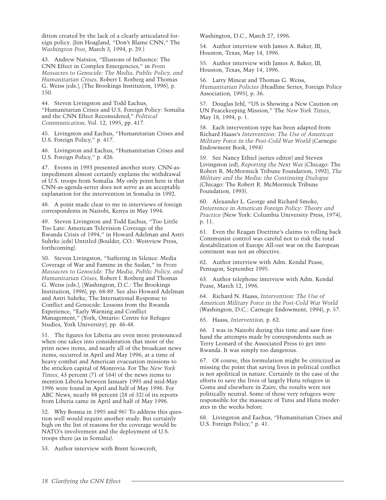dition created by the lack of a clearly articulated foreign policy. (Jim Hoagland, "Don't Blame CNN," The *Washington Post*, March 3, 1994, p. 29.)

43. Andrew Natsios, "Illusions of Influence: The CNN Effect in Complex Emergencies," in *From Massacres to Genocide: The Media, Public Policy, and Humanitarian Crises,* Robert I. Rotberg and Thomas G. Weiss (eds.), (The Brookings Institution, 1996), p. 150.

44. Steven Livingston and Todd Eachus, "Humanitarian Crises and U.S. Foreign Policy: Somalia and the CNN Effect Reconsidered," *Political Communication,* Vol. 12, 1995, pp. 417.

45. Livingston and Eachus, "Humanitarian Crises and U.S. Foreign Policy," p. 417.

46. Livingston and Eachus, "Humanitarian Crises and U.S. Foreign Policy," p. 426.

47. Events in 1993 presented another story. CNN-asimpediment almost certainly explains the withdrawal of U.S. troops from Somalia. My only point here is that CNN-as-agenda-setter does not serve as an acceptable explanation for the intervention in Somalia in 1992.

48. A point made clear to me in interviews of foreign correspondents in Nairobi, Kenya in May 1994.

49. Steven Livingston and Todd Eachus, "Too Little Too Late: American Television Coverage of the Rwanda Crisis of 1994," in Howard Adelman and Astri Suhrke (eds) Untitled (Boulder, CO.: Westview Press, forthcoming).

50. Steven Livingston, "Suffering in Silence: Media Coverage of War and Famine in the Sudan," in *From Massacres to Genocide: The Media, Public Policy, and Humanitarian Crises,* Robert I. Rotberg and Thomas G. Weiss (eds.), (Washington, D.C.: The Brookings Institution, 1996), pp. 68-89. See also Howard Adelman and Astri Suhrke, The International Response to Conflict and Genocide: Lessons from the Rwanda Experience, "Early Warning and Conflict Management," (York, Ontario: Centre for Refugee Studies, York University), pp. 46-48.

51. The figures for Liberia are even more pronounced when one takes into consideration that most of the print news items, and nearly all of the broadcast news items, occurred in April and May 1996, at a time of heavy combat and American evacuation missions to the stricken capital of Monrovia. For The *New York Times*, 43 percent (71 of 164) of the news items to mention Liberia between January 1995 and mid-May 1996 were found in April and half of May 1996. For ABC News, nearly 88 percent (28 of 32) of its reports from Liberia came in April and half of May 1996.

52. Why Bosnia in 1995 and 96? To address this question well would require another study. But certainly high on the list of reasons for the coverage would be NATO's involvement and the deployment of U.S. troops there (as in Somalia).

53. Author interview with Brent Scowcroft,

Washington, D.C., March 27, 1996.

54. Author interview with James A. Baker, III, Houston, Texas, May 14, 1996.

55. Author interview with James A. Baker, III, Houston, Texas, May 14, 1996.

56. Larry Minear and Thomas G. Weiss, *Humanitarian Policies* (Headline Series, Foreign Policy Association, 1995), p. 36.

57. Douglas Jehl, "US is Showing a New Caution on UN Peacekeeping Mission," The *New York Times*, May 18, 1994, p. 1.

58. Each intervention type has been adapted from Richard Haass's *Intervention: The Use of American Military Force in the Post-Cold War World* (Carnegie Endowment Book, 1994)

59. See Nancy Ethiel (series editor) and Steven Livingston (ed), *Reporting the Next War* (Chicago: The Robert R. McMormick Tribune Foundation, 1992), *The Military and the Media: the Continuing Dialogue* (Chicago: The Robert R. McMormick Tribune Foundation, 1993).

60. Alexander L. George and Richard Smoke, *Deterrence in American Foreign Policy: Theory and Practice* (New York: Columbia University Press, 1974), p. 11.

61. Even the Reagan Doctrine's claims to rolling back Communist control was careful not to risk the total destabilization of Europe All-out war on the European continent was not an objective.

62. Author interview with Adm. Kendal Pease, Pentagon, September 1995.

63. Author telephone interview with Adm. Kendal Pease, March 12, 1996.

64. Richard N. Haass, *Intervention: The Use of American Military Force in the Post-Cold War World* (Washington, D.C.: Carnegie Endowment, 1994), p. 57.

65. Haass, *Intervention,* p. 62.

66. I was in Nairobi during this time and saw firsthand the attempts made by correspondents such as Terry Leonard of the Associated Press to get into Rwanda. It was simply too dangerous.

67. Of course, this formulation might be criticized as missing the point that saving lives in political conflict is not apolitical in nature. Certainly in the case of the efforts to save the lives of largely Hutu refugees in Goma and elsewhere in Zaire, the results were not politically neutral. Some of these very refugees were responsible for the massacre of Tutsi and Hutu moderates in the weeks before.

68. Livingston and Eachus, "Humanitarian Crises and U.S. Foreign Policy," p. 41.